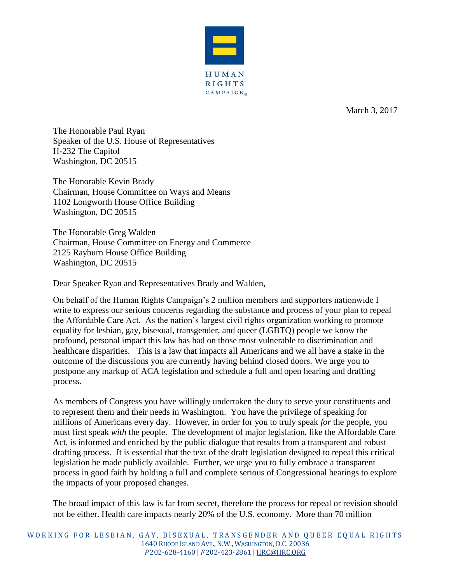

March 3, 2017

The Honorable Paul Ryan Speaker of the U.S. House of Representatives H-232 The Capitol Washington, DC 20515

The Honorable Kevin Brady Chairman, House Committee on Ways and Means 1102 Longworth House Office Building Washington, DC 20515

The Honorable Greg Walden Chairman, House Committee on Energy and Commerce 2125 Rayburn House Office Building Washington, DC 20515

Dear Speaker Ryan and Representatives Brady and Walden,

On behalf of the Human Rights Campaign's 2 million members and supporters nationwide I write to express our serious concerns regarding the substance and process of your plan to repeal the Affordable Care Act. As the nation's largest civil rights organization working to promote equality for lesbian, gay, bisexual, transgender, and queer (LGBTQ) people we know the profound, personal impact this law has had on those most vulnerable to discrimination and healthcare disparities. This is a law that impacts all Americans and we all have a stake in the outcome of the discussions you are currently having behind closed doors. We urge you to postpone any markup of ACA legislation and schedule a full and open hearing and drafting process.

As members of Congress you have willingly undertaken the duty to serve your constituents and to represent them and their needs in Washington. You have the privilege of speaking for millions of Americans every day. However, in order for you to truly speak *for* the people, you must first speak *with* the people. The development of major legislation, like the Affordable Care Act, is informed and enriched by the public dialogue that results from a transparent and robust drafting process. It is essential that the text of the draft legislation designed to repeal this critical legislation be made publicly available. Further, we urge you to fully embrace a transparent process in good faith by holding a full and complete serious of Congressional hearings to explore the impacts of your proposed changes.

The broad impact of this law is far from secret, therefore the process for repeal or revision should not be either. Health care impacts nearly 20% of the U.S. economy. More than 70 million